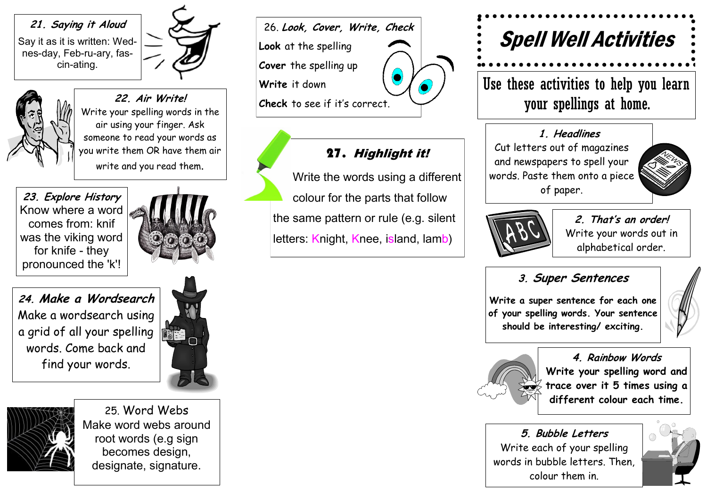#### **21. Saying it Aloud**

Say it as it is written: Wednes-day, Feb-ru-ary, fascin-ating.



**22. Air Write!** Write your spelling words in the air using your finger. Ask someone to read your words as you write them OR have them air write and you read them.

**23. Explore History** Know where a word comes from: knif was the viking word for knife - they pronounced the 'k'!



**24. Make a Wordsearch** Make a wordsearch using a grid of all your spelling words. Come back and find your words.





25. Word Webs Make word webs around root words (e.g sign becomes design, designate, signature.

26. **Look, Cover, Write, Check Look** at the spelling **Cover** the spelling up **Write** it down **Check** to see if it's corr[ect.](http://www.google.co.uk/url?sa=i&rct=j&q=cartoon%20eyes&source=images&cd=&cad=rja&docid=ggEHHky8bM-kbM&tbnid=TLg9RO3_aTD0MM:&ved=0CAUQjRw&url=http%3A%2F%2Fen.board.goodgamestudios.com%2Fempire%2Fshowthread.php%3F73292-Ask-Marik(and-Bakura)%2Fpage3&ei=9Ua)

# 27. Highlight it!

Write the words using a different colour for the parts that follow the same pattern or rule (e.g. silent letters: Knight, Knee, island, lamb)



Use these activities to help you learn your spellings at home.

### **1. Headlines**

Cut letters out of magazines and newspapers to spell your words. Paste them onto a piece of paper.



**2. That's an order!** Write your words out in alphabetical order.

## **3. Super Sentences**

**Write a super sentence for each one of your spelling words. Your sentence should be interesting/ exciting.** 



**4. Rainbow Words Write your spelling word and trace over it 5 times using a different colour each time.**

**5. Bubble Letters** Write each of your spelling words in bubble letters. Then, colour them in.